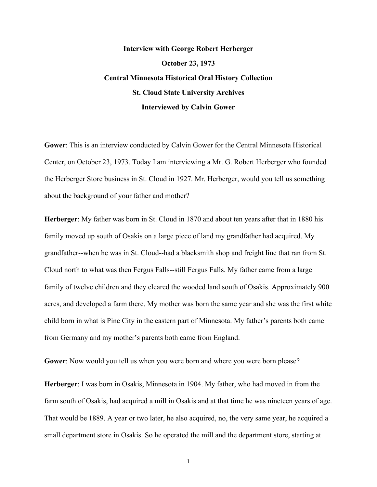## **Interview with George Robert Herberger October 23, 1973 Central Minnesota Historical Oral History Collection St. Cloud State University Archives Interviewed by Calvin Gower**

**Gower**: This is an interview conducted by Calvin Gower for the Central Minnesota Historical Center, on October 23, 1973. Today I am interviewing a Mr. G. Robert Herberger who founded the Herberger Store business in St. Cloud in 1927. Mr. Herberger, would you tell us something about the background of your father and mother?

**Herberger**: My father was born in St. Cloud in 1870 and about ten years after that in 1880 his family moved up south of Osakis on a large piece of land my grandfather had acquired. My grandfather--when he was in St. Cloud--had a blacksmith shop and freight line that ran from St. Cloud north to what was then Fergus Falls--still Fergus Falls. My father came from a large family of twelve children and they cleared the wooded land south of Osakis. Approximately 900 acres, and developed a farm there. My mother was born the same year and she was the first white child born in what is Pine City in the eastern part of Minnesota. My father's parents both came from Germany and my mother's parents both came from England.

**Gower**: Now would you tell us when you were born and where you were born please?

**Herberger**: I was born in Osakis, Minnesota in 1904. My father, who had moved in from the farm south of Osakis, had acquired a mill in Osakis and at that time he was nineteen years of age. That would be 1889. A year or two later, he also acquired, no, the very same year, he acquired a small department store in Osakis. So he operated the mill and the department store, starting at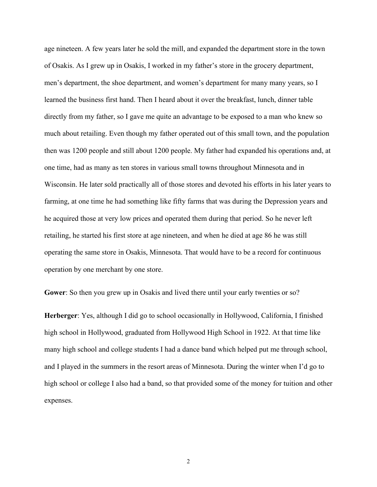age nineteen. A few years later he sold the mill, and expanded the department store in the town of Osakis. As I grew up in Osakis, I worked in my father's store in the grocery department, men's department, the shoe department, and women's department for many many years, so I learned the business first hand. Then I heard about it over the breakfast, lunch, dinner table directly from my father, so I gave me quite an advantage to be exposed to a man who knew so much about retailing. Even though my father operated out of this small town, and the population then was 1200 people and still about 1200 people. My father had expanded his operations and, at one time, had as many as ten stores in various small towns throughout Minnesota and in Wisconsin. He later sold practically all of those stores and devoted his efforts in his later years to farming, at one time he had something like fifty farms that was during the Depression years and he acquired those at very low prices and operated them during that period. So he never left retailing, he started his first store at age nineteen, and when he died at age 86 he was still operating the same store in Osakis, Minnesota. That would have to be a record for continuous operation by one merchant by one store.

**Gower**: So then you grew up in Osakis and lived there until your early twenties or so?

**Herberger**: Yes, although I did go to school occasionally in Hollywood, California, I finished high school in Hollywood, graduated from Hollywood High School in 1922. At that time like many high school and college students I had a dance band which helped put me through school, and I played in the summers in the resort areas of Minnesota. During the winter when I'd go to high school or college I also had a band, so that provided some of the money for tuition and other expenses.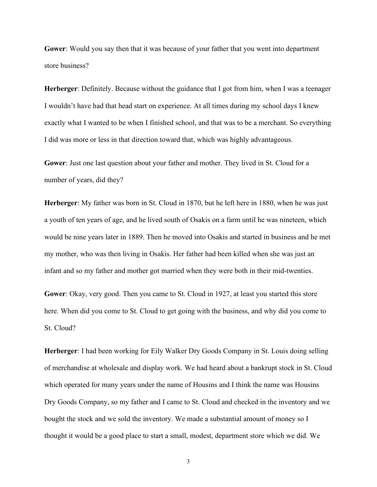**Gower**: Would you say then that it was because of your father that you went into department store business?

**Herberger**: Definitely. Because without the guidance that I got from him, when I was a teenager I wouldn't have had that head start on experience. At all times during my school days I knew exactly what I wanted to be when I finished school, and that was to be a merchant. So everything I did was more or less in that direction toward that, which was highly advantageous.

**Gower**: Just one last question about your father and mother. They lived in St. Cloud for a number of years, did they?

**Herberger**: My father was born in St. Cloud in 1870, but he left here in 1880, when he was just a youth of ten years of age, and he lived south of Osakis on a farm until he was nineteen, which would be nine years later in 1889. Then he moved into Osakis and started in business and he met my mother, who was then living in Osakis. Her father had been killed when she was just an infant and so my father and mother got married when they were both in their mid-twenties.

**Gower**: Okay, very good. Then you came to St. Cloud in 1927, at least you started this store here. When did you come to St. Cloud to get going with the business, and why did you come to St. Cloud?

**Herberger**: I had been working for Eily Walker Dry Goods Company in St. Louis doing selling of merchandise at wholesale and display work. We had heard about a bankrupt stock in St. Cloud which operated for many years under the name of Housins and I think the name was Housins Dry Goods Company, so my father and I came to St. Cloud and checked in the inventory and we bought the stock and we sold the inventory. We made a substantial amount of money so I thought it would be a good place to start a small, modest, department store which we did. We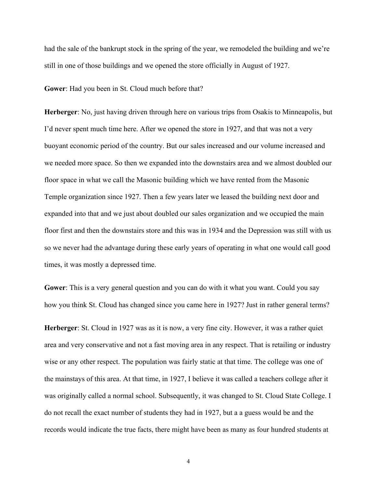had the sale of the bankrupt stock in the spring of the year, we remodeled the building and we're still in one of those buildings and we opened the store officially in August of 1927.

**Gower**: Had you been in St. Cloud much before that?

**Herberger**: No, just having driven through here on various trips from Osakis to Minneapolis, but I'd never spent much time here. After we opened the store in 1927, and that was not a very buoyant economic period of the country. But our sales increased and our volume increased and we needed more space. So then we expanded into the downstairs area and we almost doubled our floor space in what we call the Masonic building which we have rented from the Masonic Temple organization since 1927. Then a few years later we leased the building next door and expanded into that and we just about doubled our sales organization and we occupied the main floor first and then the downstairs store and this was in 1934 and the Depression was still with us so we never had the advantage during these early years of operating in what one would call good times, it was mostly a depressed time.

**Gower**: This is a very general question and you can do with it what you want. Could you say how you think St. Cloud has changed since you came here in 1927? Just in rather general terms?

**Herberger**: St. Cloud in 1927 was as it is now, a very fine city. However, it was a rather quiet area and very conservative and not a fast moving area in any respect. That is retailing or industry wise or any other respect. The population was fairly static at that time. The college was one of the mainstays of this area. At that time, in 1927, I believe it was called a teachers college after it was originally called a normal school. Subsequently, it was changed to St. Cloud State College. I do not recall the exact number of students they had in 1927, but a a guess would be and the records would indicate the true facts, there might have been as many as four hundred students at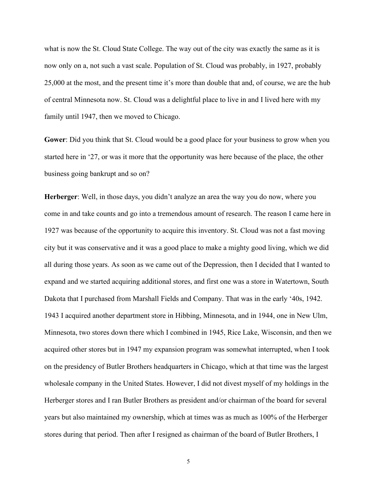what is now the St. Cloud State College. The way out of the city was exactly the same as it is now only on a, not such a vast scale. Population of St. Cloud was probably, in 1927, probably 25,000 at the most, and the present time it's more than double that and, of course, we are the hub of central Minnesota now. St. Cloud was a delightful place to live in and I lived here with my family until 1947, then we moved to Chicago.

**Gower**: Did you think that St. Cloud would be a good place for your business to grow when you started here in '27, or was it more that the opportunity was here because of the place, the other business going bankrupt and so on?

**Herberger**: Well, in those days, you didn't analyze an area the way you do now, where you come in and take counts and go into a tremendous amount of research. The reason I came here in 1927 was because of the opportunity to acquire this inventory. St. Cloud was not a fast moving city but it was conservative and it was a good place to make a mighty good living, which we did all during those years. As soon as we came out of the Depression, then I decided that I wanted to expand and we started acquiring additional stores, and first one was a store in Watertown, South Dakota that I purchased from Marshall Fields and Company. That was in the early '40s, 1942. 1943 I acquired another department store in Hibbing, Minnesota, and in 1944, one in New Ulm, Minnesota, two stores down there which I combined in 1945, Rice Lake, Wisconsin, and then we acquired other stores but in 1947 my expansion program was somewhat interrupted, when I took on the presidency of Butler Brothers headquarters in Chicago, which at that time was the largest wholesale company in the United States. However, I did not divest myself of my holdings in the Herberger stores and I ran Butler Brothers as president and/or chairman of the board for several years but also maintained my ownership, which at times was as much as 100% of the Herberger stores during that period. Then after I resigned as chairman of the board of Butler Brothers, I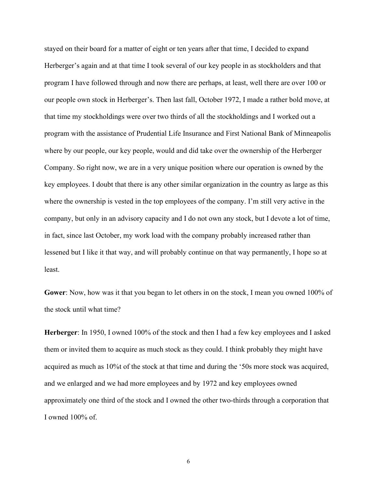stayed on their board for a matter of eight or ten years after that time, I decided to expand Herberger's again and at that time I took several of our key people in as stockholders and that program I have followed through and now there are perhaps, at least, well there are over 100 or our people own stock in Herberger's. Then last fall, October 1972, I made a rather bold move, at that time my stockholdings were over two thirds of all the stockholdings and I worked out a program with the assistance of Prudential Life Insurance and First National Bank of Minneapolis where by our people, our key people, would and did take over the ownership of the Herberger Company. So right now, we are in a very unique position where our operation is owned by the key employees. I doubt that there is any other similar organization in the country as large as this where the ownership is vested in the top employees of the company. I'm still very active in the company, but only in an advisory capacity and I do not own any stock, but I devote a lot of time, in fact, since last October, my work load with the company probably increased rather than lessened but I like it that way, and will probably continue on that way permanently, I hope so at least.

**Gower**: Now, how was it that you began to let others in on the stock, I mean you owned 100% of the stock until what time?

**Herberger**: In 1950, I owned 100% of the stock and then I had a few key employees and I asked them or invited them to acquire as much stock as they could. I think probably they might have acquired as much as 10%t of the stock at that time and during the '50s more stock was acquired, and we enlarged and we had more employees and by 1972 and key employees owned approximately one third of the stock and I owned the other two-thirds through a corporation that I owned 100% of.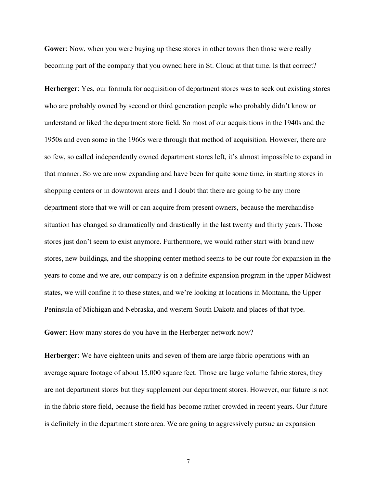**Gower**: Now, when you were buying up these stores in other towns then those were really becoming part of the company that you owned here in St. Cloud at that time. Is that correct?

**Herberger**: Yes, our formula for acquisition of department stores was to seek out existing stores who are probably owned by second or third generation people who probably didn't know or understand or liked the department store field. So most of our acquisitions in the 1940s and the 1950s and even some in the 1960s were through that method of acquisition. However, there are so few, so called independently owned department stores left, it's almost impossible to expand in that manner. So we are now expanding and have been for quite some time, in starting stores in shopping centers or in downtown areas and I doubt that there are going to be any more department store that we will or can acquire from present owners, because the merchandise situation has changed so dramatically and drastically in the last twenty and thirty years. Those stores just don't seem to exist anymore. Furthermore, we would rather start with brand new stores, new buildings, and the shopping center method seems to be our route for expansion in the years to come and we are, our company is on a definite expansion program in the upper Midwest states, we will confine it to these states, and we're looking at locations in Montana, the Upper Peninsula of Michigan and Nebraska, and western South Dakota and places of that type.

**Gower**: How many stores do you have in the Herberger network now?

**Herberger**: We have eighteen units and seven of them are large fabric operations with an average square footage of about 15,000 square feet. Those are large volume fabric stores, they are not department stores but they supplement our department stores. However, our future is not in the fabric store field, because the field has become rather crowded in recent years. Our future is definitely in the department store area. We are going to aggressively pursue an expansion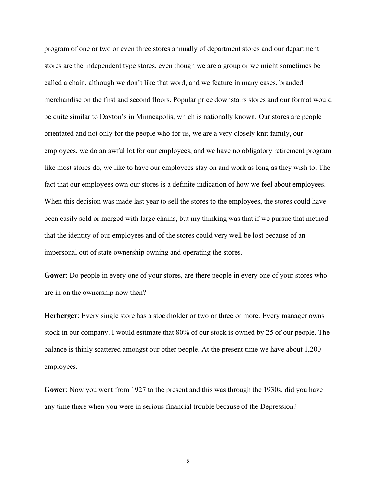program of one or two or even three stores annually of department stores and our department stores are the independent type stores, even though we are a group or we might sometimes be called a chain, although we don't like that word, and we feature in many cases, branded merchandise on the first and second floors. Popular price downstairs stores and our format would be quite similar to Dayton's in Minneapolis, which is nationally known. Our stores are people orientated and not only for the people who for us, we are a very closely knit family, our employees, we do an awful lot for our employees, and we have no obligatory retirement program like most stores do, we like to have our employees stay on and work as long as they wish to. The fact that our employees own our stores is a definite indication of how we feel about employees. When this decision was made last year to sell the stores to the employees, the stores could have been easily sold or merged with large chains, but my thinking was that if we pursue that method that the identity of our employees and of the stores could very well be lost because of an impersonal out of state ownership owning and operating the stores.

**Gower**: Do people in every one of your stores, are there people in every one of your stores who are in on the ownership now then?

**Herberger**: Every single store has a stockholder or two or three or more. Every manager owns stock in our company. I would estimate that 80% of our stock is owned by 25 of our people. The balance is thinly scattered amongst our other people. At the present time we have about 1,200 employees.

**Gower**: Now you went from 1927 to the present and this was through the 1930s, did you have any time there when you were in serious financial trouble because of the Depression?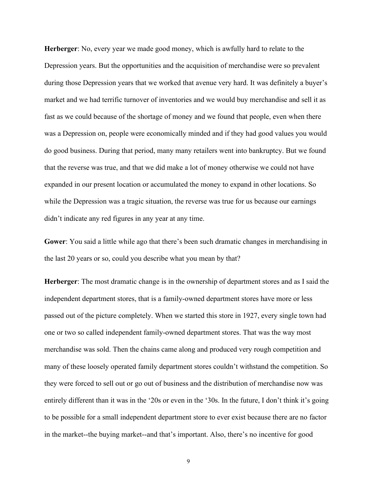**Herberger**: No, every year we made good money, which is awfully hard to relate to the Depression years. But the opportunities and the acquisition of merchandise were so prevalent during those Depression years that we worked that avenue very hard. It was definitely a buyer's market and we had terrific turnover of inventories and we would buy merchandise and sell it as fast as we could because of the shortage of money and we found that people, even when there was a Depression on, people were economically minded and if they had good values you would do good business. During that period, many many retailers went into bankruptcy. But we found that the reverse was true, and that we did make a lot of money otherwise we could not have expanded in our present location or accumulated the money to expand in other locations. So while the Depression was a tragic situation, the reverse was true for us because our earnings didn't indicate any red figures in any year at any time.

**Gower**: You said a little while ago that there's been such dramatic changes in merchandising in the last 20 years or so, could you describe what you mean by that?

**Herberger**: The most dramatic change is in the ownership of department stores and as I said the independent department stores, that is a family-owned department stores have more or less passed out of the picture completely. When we started this store in 1927, every single town had one or two so called independent family-owned department stores. That was the way most merchandise was sold. Then the chains came along and produced very rough competition and many of these loosely operated family department stores couldn't withstand the competition. So they were forced to sell out or go out of business and the distribution of merchandise now was entirely different than it was in the '20s or even in the '30s. In the future, I don't think it's going to be possible for a small independent department store to ever exist because there are no factor in the market--the buying market--and that's important. Also, there's no incentive for good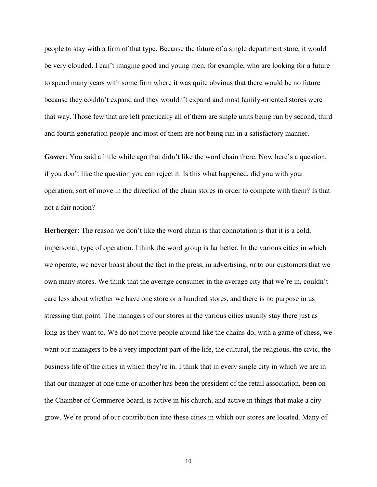people to stay with a firm of that type. Because the future of a single department store, it would be very clouded. I can't imagine good and young men, for example, who are looking for a future to spend many years with some firm where it was quite obvious that there would be no future because they couldn't expand and they wouldn't expand and most family-oriented stores were that way. Those few that are left practically all of them are single units being run by second, third and fourth generation people and most of them are not being run in a satisfactory manner.

**Gower**: You said a little while ago that didn't like the word chain there. Now here's a question, if you don't like the question you can reject it. Is this what happened, did you with your operation, sort of move in the direction of the chain stores in order to compete with them? Is that not a fair notion?

**Herberger**: The reason we don't like the word chain is that connotation is that it is a cold, impersonal, type of operation. I think the word group is far better. In the various cities in which we operate, we never boast about the fact in the press, in advertising, or to our customers that we own many stores. We think that the average consumer in the average city that we're in, couldn't care less about whether we have one store or a hundred stores, and there is no purpose in us stressing that point. The managers of our stores in the various cities usually stay there just as long as they want to. We do not move people around like the chains do, with a game of chess, we want our managers to be a very important part of the life, the cultural, the religious, the civic, the business life of the cities in which they're in. I think that in every single city in which we are in that our manager at one time or another has been the president of the retail association, been on the Chamber of Commerce board, is active in his church, and active in things that make a city grow. We're proud of our contribution into these cities in which our stores are located. Many of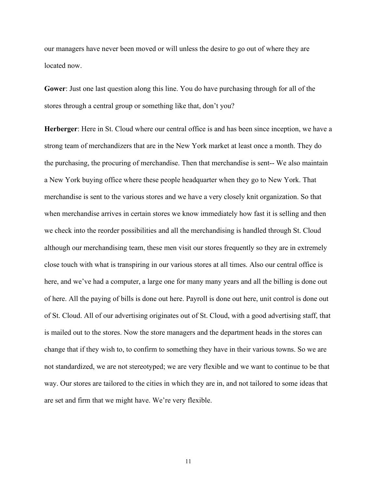our managers have never been moved or will unless the desire to go out of where they are located now.

**Gower**: Just one last question along this line. You do have purchasing through for all of the stores through a central group or something like that, don't you?

**Herberger**: Here in St. Cloud where our central office is and has been since inception, we have a strong team of merchandizers that are in the New York market at least once a month. They do the purchasing, the procuring of merchandise. Then that merchandise is sent-- We also maintain a New York buying office where these people headquarter when they go to New York. That merchandise is sent to the various stores and we have a very closely knit organization. So that when merchandise arrives in certain stores we know immediately how fast it is selling and then we check into the reorder possibilities and all the merchandising is handled through St. Cloud although our merchandising team, these men visit our stores frequently so they are in extremely close touch with what is transpiring in our various stores at all times. Also our central office is here, and we've had a computer, a large one for many many years and all the billing is done out of here. All the paying of bills is done out here. Payroll is done out here, unit control is done out of St. Cloud. All of our advertising originates out of St. Cloud, with a good advertising staff, that is mailed out to the stores. Now the store managers and the department heads in the stores can change that if they wish to, to confirm to something they have in their various towns. So we are not standardized, we are not stereotyped; we are very flexible and we want to continue to be that way. Our stores are tailored to the cities in which they are in, and not tailored to some ideas that are set and firm that we might have. We're very flexible.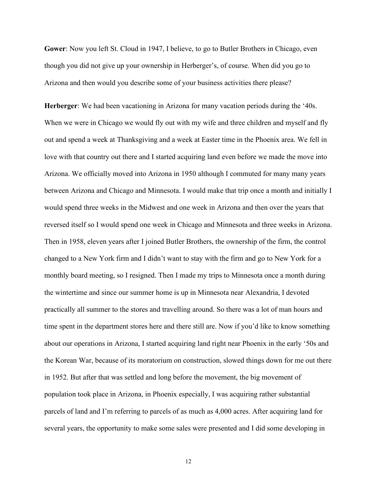**Gower**: Now you left St. Cloud in 1947, I believe, to go to Butler Brothers in Chicago, even though you did not give up your ownership in Herberger's, of course. When did you go to Arizona and then would you describe some of your business activities there please?

**Herberger**: We had been vacationing in Arizona for many vacation periods during the '40s. When we were in Chicago we would fly out with my wife and three children and myself and fly out and spend a week at Thanksgiving and a week at Easter time in the Phoenix area. We fell in love with that country out there and I started acquiring land even before we made the move into Arizona. We officially moved into Arizona in 1950 although I commuted for many many years between Arizona and Chicago and Minnesota. I would make that trip once a month and initially I would spend three weeks in the Midwest and one week in Arizona and then over the years that reversed itself so I would spend one week in Chicago and Minnesota and three weeks in Arizona. Then in 1958, eleven years after I joined Butler Brothers, the ownership of the firm, the control changed to a New York firm and I didn't want to stay with the firm and go to New York for a monthly board meeting, so I resigned. Then I made my trips to Minnesota once a month during the wintertime and since our summer home is up in Minnesota near Alexandria, I devoted practically all summer to the stores and travelling around. So there was a lot of man hours and time spent in the department stores here and there still are. Now if you'd like to know something about our operations in Arizona, I started acquiring land right near Phoenix in the early '50s and the Korean War, because of its moratorium on construction, slowed things down for me out there in 1952. But after that was settled and long before the movement, the big movement of population took place in Arizona, in Phoenix especially, I was acquiring rather substantial parcels of land and I'm referring to parcels of as much as 4,000 acres. After acquiring land for several years, the opportunity to make some sales were presented and I did some developing in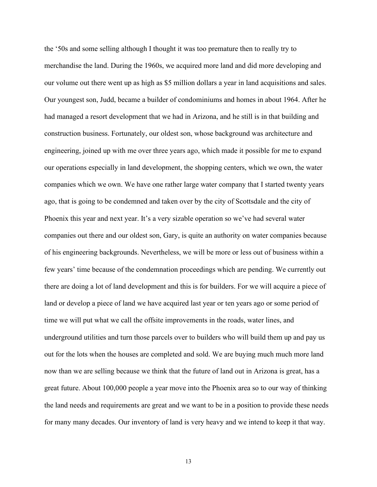the '50s and some selling although I thought it was too premature then to really try to merchandise the land. During the 1960s, we acquired more land and did more developing and our volume out there went up as high as \$5 million dollars a year in land acquisitions and sales. Our youngest son, Judd, became a builder of condominiums and homes in about 1964. After he had managed a resort development that we had in Arizona, and he still is in that building and construction business. Fortunately, our oldest son, whose background was architecture and engineering, joined up with me over three years ago, which made it possible for me to expand our operations especially in land development, the shopping centers, which we own, the water companies which we own. We have one rather large water company that I started twenty years ago, that is going to be condemned and taken over by the city of Scottsdale and the city of Phoenix this year and next year. It's a very sizable operation so we've had several water companies out there and our oldest son, Gary, is quite an authority on water companies because of his engineering backgrounds. Nevertheless, we will be more or less out of business within a few years' time because of the condemnation proceedings which are pending. We currently out there are doing a lot of land development and this is for builders. For we will acquire a piece of land or develop a piece of land we have acquired last year or ten years ago or some period of time we will put what we call the offsite improvements in the roads, water lines, and underground utilities and turn those parcels over to builders who will build them up and pay us out for the lots when the houses are completed and sold. We are buying much much more land now than we are selling because we think that the future of land out in Arizona is great, has a great future. About 100,000 people a year move into the Phoenix area so to our way of thinking the land needs and requirements are great and we want to be in a position to provide these needs for many many decades. Our inventory of land is very heavy and we intend to keep it that way.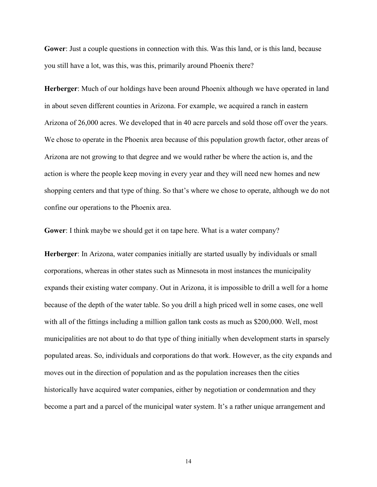**Gower**: Just a couple questions in connection with this. Was this land, or is this land, because you still have a lot, was this, was this, primarily around Phoenix there?

**Herberger**: Much of our holdings have been around Phoenix although we have operated in land in about seven different counties in Arizona. For example, we acquired a ranch in eastern Arizona of 26,000 acres. We developed that in 40 acre parcels and sold those off over the years. We chose to operate in the Phoenix area because of this population growth factor, other areas of Arizona are not growing to that degree and we would rather be where the action is, and the action is where the people keep moving in every year and they will need new homes and new shopping centers and that type of thing. So that's where we chose to operate, although we do not confine our operations to the Phoenix area.

**Gower**: I think maybe we should get it on tape here. What is a water company?

**Herberger**: In Arizona, water companies initially are started usually by individuals or small corporations, whereas in other states such as Minnesota in most instances the municipality expands their existing water company. Out in Arizona, it is impossible to drill a well for a home because of the depth of the water table. So you drill a high priced well in some cases, one well with all of the fittings including a million gallon tank costs as much as \$200,000. Well, most municipalities are not about to do that type of thing initially when development starts in sparsely populated areas. So, individuals and corporations do that work. However, as the city expands and moves out in the direction of population and as the population increases then the cities historically have acquired water companies, either by negotiation or condemnation and they become a part and a parcel of the municipal water system. It's a rather unique arrangement and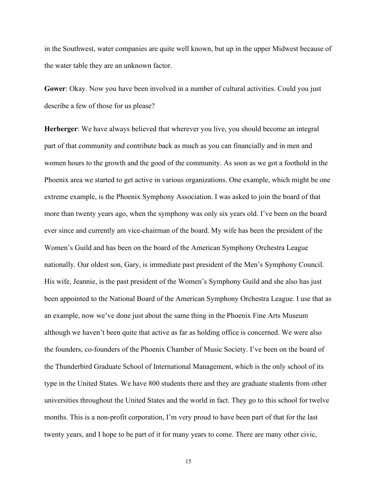in the Southwest, water companies are quite well known, but up in the upper Midwest because of the water table they are an unknown factor.

**Gower**: Okay. Now you have been involved in a number of cultural activities. Could you just describe a few of those for us please?

**Herberger**: We have always believed that wherever you live, you should become an integral part of that community and contribute back as much as you can financially and in men and women hours to the growth and the good of the community. As soon as we got a foothold in the Phoenix area we started to get active in various organizations. One example, which might be one extreme example, is the Phoenix Symphony Association. I was asked to join the board of that more than twenty years ago, when the symphony was only six years old. I've been on the board ever since and currently am vice-chairman of the board. My wife has been the president of the Women's Guild and has been on the board of the American Symphony Orchestra League nationally. Our oldest son, Gary, is immediate past president of the Men's Symphony Council. His wife, Jeannie, is the past president of the Women's Symphony Guild and she also has just been appointed to the National Board of the American Symphony Orchestra League. I use that as an example, now we've done just about the same thing in the Phoenix Fine Arts Museum although we haven't been quite that active as far as holding office is concerned. We were also the founders, co-founders of the Phoenix Chamber of Music Society. I've been on the board of the Thunderbird Graduate School of International Management, which is the only school of its type in the United States. We have 800 students there and they are graduate students from other universities throughout the United States and the world in fact. They go to this school for twelve months. This is a non-profit corporation, I'm very proud to have been part of that for the last twenty years, and I hope to be part of it for many years to come. There are many other civic,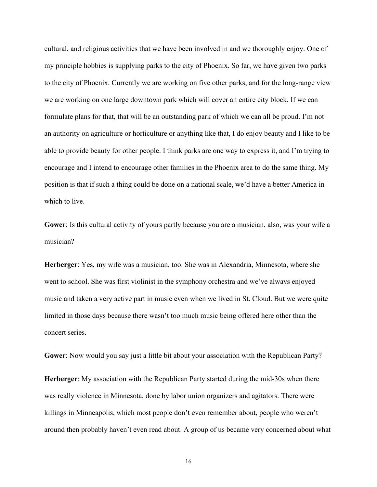cultural, and religious activities that we have been involved in and we thoroughly enjoy. One of my principle hobbies is supplying parks to the city of Phoenix. So far, we have given two parks to the city of Phoenix. Currently we are working on five other parks, and for the long-range view we are working on one large downtown park which will cover an entire city block. If we can formulate plans for that, that will be an outstanding park of which we can all be proud. I'm not an authority on agriculture or horticulture or anything like that, I do enjoy beauty and I like to be able to provide beauty for other people. I think parks are one way to express it, and I'm trying to encourage and I intend to encourage other families in the Phoenix area to do the same thing. My position is that if such a thing could be done on a national scale, we'd have a better America in which to live.

**Gower**: Is this cultural activity of yours partly because you are a musician, also, was your wife a musician?

**Herberger**: Yes, my wife was a musician, too. She was in Alexandria, Minnesota, where she went to school. She was first violinist in the symphony orchestra and we've always enjoyed music and taken a very active part in music even when we lived in St. Cloud. But we were quite limited in those days because there wasn't too much music being offered here other than the concert series.

**Gower**: Now would you say just a little bit about your association with the Republican Party?

**Herberger**: My association with the Republican Party started during the mid-30s when there was really violence in Minnesota, done by labor union organizers and agitators. There were killings in Minneapolis, which most people don't even remember about, people who weren't around then probably haven't even read about. A group of us became very concerned about what